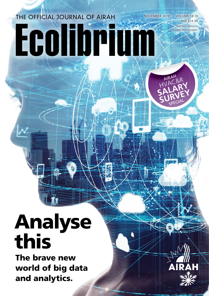## NOVEMBER 2019 · VOLUME 18.10 THE OFFICIAL JOURNAL OF AIRAH Ecolibrium

RRP \$14.95

PRINT POST APPROVAL **NUMBER PP352532/00001** 

AIRAH HVAC&R **SALARY** 

SALTIEY

# Analyse this

The brave new world of big data and analytics.